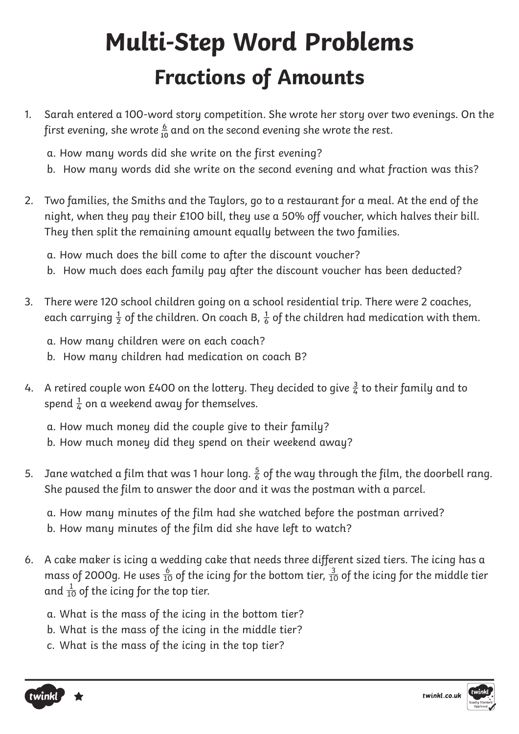# **Multi-Step Word Problems Fractions of Amounts**

- 1. Sarah entered a 100-word story competition. She wrote her story over two evenings. On the first evening, she wrote  $\frac{6}{10}$  and on the second evening she wrote the rest.
	- a. How many words did she write on the first evening?
	- b. How many words did she write on the second evening and what fraction was this?
- 2. Two families, the Smiths and the Taylors, go to a restaurant for a meal. At the end of the night, when they pay their £100 bill, they use a 50% off voucher, which halves their bill. They then split the remaining amount equally between the two families.
	- a. How much does the bill come to after the discount voucher?
	- b. How much does each family pay after the discount voucher has been deducted?
- 3. There were 120 school children going on a school residential trip. There were 2 coaches, each carrying  $\frac{1}{2}$  of the children. On coach B,  $\frac{1}{6}$  of the children had medication with them.
	- a. How many children were on each coach?
	- b. How many children had medication on coach B?
- 4. A retired couple won £400 on the lottery. They decided to give  $\frac{3}{4}$  to their family and to spend  $\frac{1}{4}$  on a weekend away for themselves.

a. How much money did the couple give to their family?

- b. How much money did they spend on their weekend away?
- 5. Jane watched a film that was 1 hour long.  $\frac{5}{6}$  of the way through the film, the doorbell rang. She paused the film to answer the door and it was the postman with a parcel.

a. How many minutes of the film had she watched before the postman arrived?

- b. How many minutes of the film did she have left to watch?
- 6. A cake maker is icing a wedding cake that needs three different sized tiers. The icing has a mass of 2000g. He uses  $\frac{6}{10}$  of the icing for the bottom tier,  $\frac{3}{10}$  of the icing for the middle tier and  $\frac{1}{10}$  of the icing for the top tier.
	- a. What is the mass of the icing in the bottom tier?
	- b. What is the mass of the icing in the middle tier?
	- c. What is the mass of the icing in the top tier?



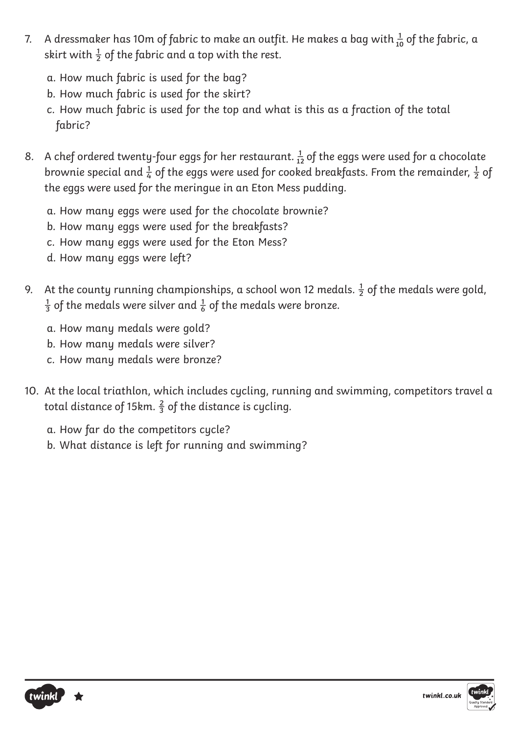- 7. A dressmaker has 10m of fabric to make an outfit. He makes a bag with  $\frac{1}{10}$  of the fabric, a skirt with  $\frac{1}{2}$  of the fabric and a top with the rest.
	- a. How much fabric is used for the bag?
	- b. How much fabric is used for the skirt?
	- c. How much fabric is used for the top and what is this as a fraction of the total fabric?
- 8. A chef ordered twenty-four eggs for her restaurant.  $\frac{1}{12}$  of the eggs were used for a chocolate brownie special and  $\frac{1}{4}$  of the eggs were used for cooked breakfasts. From the remainder,  $\frac{1}{2}$  of the eggs were used for the meringue in an Eton Mess pudding.
	- a. How many eggs were used for the chocolate brownie?
	- b. How many eggs were used for the breakfasts?
	- c. How many eggs were used for the Eton Mess?
	- d. How many eggs were left?
- 9. At the county running championships, a school won 12 medals.  $\frac{1}{2}$  of the medals were gold,  $\frac{1}{3}$  of the medals were silver and  $\frac{1}{6}$  of the medals were bronze.
	- a. How many medals were gold?
	- b. How many medals were silver?
	- c. How many medals were bronze?
- 10. At the local triathlon, which includes cycling, running and swimming, competitors travel a total distance of 15km.  $\frac{2}{3}$  of the distance is cycling.
	- a. How far do the competitors cycle?
	- b. What distance is left for running and swimming?



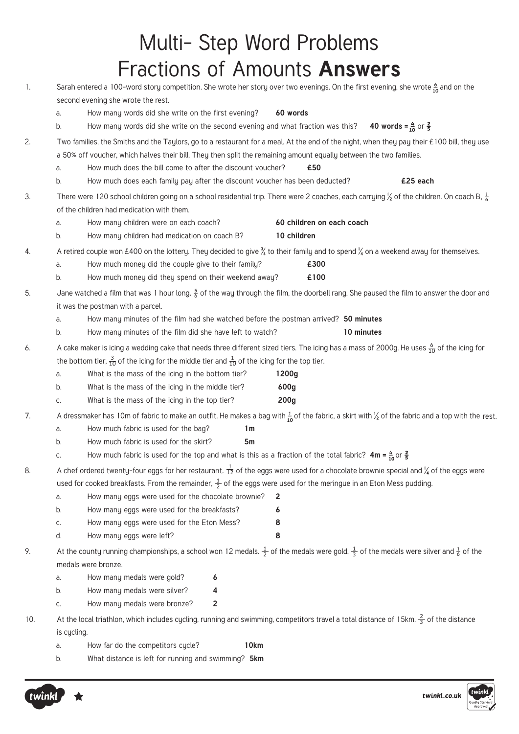|     |                                                                                                                                              |                                                                                                                                                                      | Multi- Step Word Problems                                                                                                                                             |  |  |  |  |
|-----|----------------------------------------------------------------------------------------------------------------------------------------------|----------------------------------------------------------------------------------------------------------------------------------------------------------------------|-----------------------------------------------------------------------------------------------------------------------------------------------------------------------|--|--|--|--|
|     |                                                                                                                                              |                                                                                                                                                                      | Fractions of Amounts Answers                                                                                                                                          |  |  |  |  |
|     |                                                                                                                                              |                                                                                                                                                                      |                                                                                                                                                                       |  |  |  |  |
| 1.  | Sarah entered a 100-word story competition. She wrote her story over two evenings. On the first evening, she wrote $\frac{6}{10}$ and on the |                                                                                                                                                                      |                                                                                                                                                                       |  |  |  |  |
|     |                                                                                                                                              | second evening she wrote the rest.                                                                                                                                   |                                                                                                                                                                       |  |  |  |  |
|     | a.                                                                                                                                           | How many words did she write on the first evening?                                                                                                                   | 60 words                                                                                                                                                              |  |  |  |  |
|     |                                                                                                                                              | How many words did she write on the second evening and what fraction was this? 40 words = $\frac{4}{10}$ or $\frac{2}{5}$<br>b.                                      |                                                                                                                                                                       |  |  |  |  |
| 2.  | Two families, the Smiths and the Taylors, go to a restaurant for a meal. At the end of the night, when they pay their £100 bill, they use    |                                                                                                                                                                      |                                                                                                                                                                       |  |  |  |  |
|     |                                                                                                                                              | a 50% off voucher, which halves their bill. They then split the remaining amount equally between the two families.                                                   |                                                                                                                                                                       |  |  |  |  |
|     | a.                                                                                                                                           | How much does the bill come to after the discount voucher?<br>£50                                                                                                    |                                                                                                                                                                       |  |  |  |  |
|     |                                                                                                                                              | How much does each family pay after the discount voucher has been deducted?<br>£25 each<br>b.                                                                        |                                                                                                                                                                       |  |  |  |  |
| 3.  |                                                                                                                                              | There were 120 school children going on a school residential trip. There were 2 coaches, each carrying $\frac{1}{2}$ of the children. On coach B, $\frac{1}{6}$      |                                                                                                                                                                       |  |  |  |  |
|     |                                                                                                                                              | of the children had medication with them.                                                                                                                            |                                                                                                                                                                       |  |  |  |  |
|     | a.                                                                                                                                           | How many children were on each coach?                                                                                                                                | 60 children on each coach                                                                                                                                             |  |  |  |  |
|     | b.                                                                                                                                           | How many children had medication on coach B?                                                                                                                         | 10 children                                                                                                                                                           |  |  |  |  |
| 4.  |                                                                                                                                              | A retired couple won £400 on the lottery. They decided to give $\frac{y}{4}$ to their family and to spend $\frac{y}{4}$ on a weekend away for themselves.            |                                                                                                                                                                       |  |  |  |  |
|     | a.                                                                                                                                           | How much money did the couple give to their family?                                                                                                                  | £300                                                                                                                                                                  |  |  |  |  |
|     | b.                                                                                                                                           | How much money did they spend on their weekend away?                                                                                                                 | £100                                                                                                                                                                  |  |  |  |  |
| 5.  |                                                                                                                                              |                                                                                                                                                                      | Jane watched a film that was 1 hour long. $\frac{5}{6}$ of the way through the film, the doorbell rang. She paused the film to answer the door and                    |  |  |  |  |
|     |                                                                                                                                              | it was the postman with a parcel.                                                                                                                                    |                                                                                                                                                                       |  |  |  |  |
|     | a.                                                                                                                                           | How many minutes of the film had she watched before the postman arrived? 50 minutes                                                                                  |                                                                                                                                                                       |  |  |  |  |
|     | b.                                                                                                                                           | How many minutes of the film did she have left to watch?                                                                                                             | 10 minutes                                                                                                                                                            |  |  |  |  |
| 6.  |                                                                                                                                              | A cake maker is icing a wedding cake that needs three different sized tiers. The icing has a mass of 2000g. He uses $\frac{6}{10}$ of the icing for                  |                                                                                                                                                                       |  |  |  |  |
|     |                                                                                                                                              | the bottom tier, $\frac{3}{10}$ of the icing for the middle tier and $\frac{1}{10}$ of the icing for the top tier.                                                   |                                                                                                                                                                       |  |  |  |  |
|     | a.                                                                                                                                           | What is the mass of the icing in the bottom tier?                                                                                                                    | 1200g                                                                                                                                                                 |  |  |  |  |
|     | b.                                                                                                                                           | What is the mass of the icing in the middle tier?                                                                                                                    | 600g                                                                                                                                                                  |  |  |  |  |
|     | C.                                                                                                                                           | What is the mass of the icing in the top tier?                                                                                                                       | 200 <sub>g</sub>                                                                                                                                                      |  |  |  |  |
| 7.  |                                                                                                                                              |                                                                                                                                                                      | A dressmaker has 10m of fabric to make an outfit. He makes a bag with $\frac{1}{10}$ of the fabric, a skirt with $\frac{1}{2}$ of the fabric and a top with the rest. |  |  |  |  |
|     | a.                                                                                                                                           | How much fabric is used for the bag?<br>1 <sub>m</sub>                                                                                                               |                                                                                                                                                                       |  |  |  |  |
|     | b.                                                                                                                                           | How much fabric is used for the skirt?<br>5 <sub>m</sub>                                                                                                             |                                                                                                                                                                       |  |  |  |  |
|     | How much fabric is used for the top and what is this as a fraction of the total fabric? $4m = \frac{4}{10}$ or $\frac{2}{5}$<br>C.           |                                                                                                                                                                      |                                                                                                                                                                       |  |  |  |  |
| 8.  |                                                                                                                                              | A chef ordered twenty-four eggs for her restaurant. $\frac{1}{12}$ of the eggs were used for a chocolate brownie special and 1/4 of the eggs were                    |                                                                                                                                                                       |  |  |  |  |
|     |                                                                                                                                              |                                                                                                                                                                      | used for cooked breakfasts. From the remainder, $\frac{1}{2}$ of the eggs were used for the meringue in an Eton Mess pudding.                                         |  |  |  |  |
|     | a.                                                                                                                                           | How many eggs were used for the chocolate brownie?                                                                                                                   | $\mathbf{2}$                                                                                                                                                          |  |  |  |  |
|     | b.                                                                                                                                           | How many eggs were used for the breakfasts?                                                                                                                          | 6                                                                                                                                                                     |  |  |  |  |
|     | C.                                                                                                                                           | How many eggs were used for the Eton Mess?                                                                                                                           | 8                                                                                                                                                                     |  |  |  |  |
|     | d.                                                                                                                                           | How many eggs were left?                                                                                                                                             | 8                                                                                                                                                                     |  |  |  |  |
| 9.  |                                                                                                                                              | At the county running championships, a school won 12 medals. $\frac{1}{2}$ of the medals were gold, $\frac{1}{3}$ of the medals were silver and $\frac{1}{6}$ of the |                                                                                                                                                                       |  |  |  |  |
|     |                                                                                                                                              | medals were bronze.                                                                                                                                                  |                                                                                                                                                                       |  |  |  |  |
|     | a.                                                                                                                                           | How many medals were gold?<br>6                                                                                                                                      |                                                                                                                                                                       |  |  |  |  |
|     | b.                                                                                                                                           | How many medals were silver?<br>4                                                                                                                                    |                                                                                                                                                                       |  |  |  |  |
|     | C.                                                                                                                                           | How many medals were bronze?<br>2                                                                                                                                    |                                                                                                                                                                       |  |  |  |  |
| 10. |                                                                                                                                              | At the local triathlon, which includes cycling, running and swimming, competitors travel a total distance of 15km. $\frac{2}{3}$ of the distance<br>is cycling.      |                                                                                                                                                                       |  |  |  |  |
|     | a.                                                                                                                                           | How far do the competitors cycle?                                                                                                                                    | 10km                                                                                                                                                                  |  |  |  |  |
|     |                                                                                                                                              |                                                                                                                                                                      |                                                                                                                                                                       |  |  |  |  |

b. What distance is left for running and swimming? **5km**



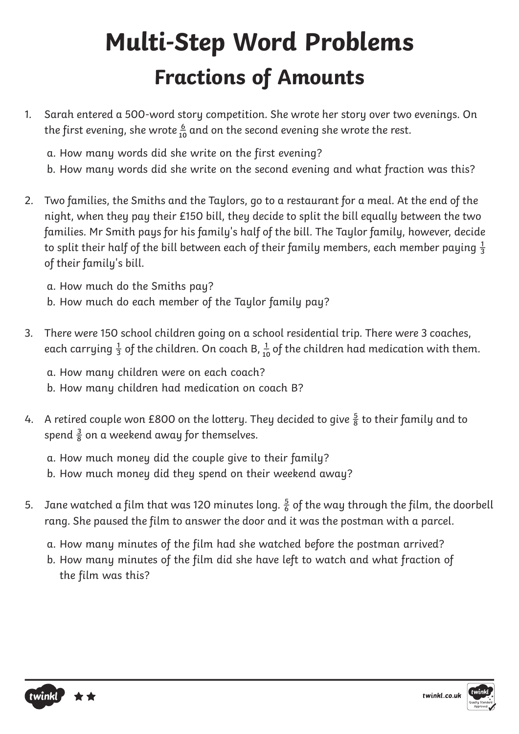# **Multi-Step Word Problems Fractions of Amounts**

1. Sarah entered a 500-word story competition. She wrote her story over two evenings. On the first evening, she wrote  $\frac{6}{10}$  and on the second evening she wrote the rest.

a. How many words did she write on the first evening?

- b. How many words did she write on the second evening and what fraction was this?
- 2. Two families, the Smiths and the Taylors, go to a restaurant for a meal. At the end of the night, when they pay their £150 bill, they decide to split the bill equally between the two families. Mr Smith pays for his family's half of the bill. The Taylor family, however, decide to split their half of the bill between each of their family members, each member paying  $\frac{1}{3}$ of their family's bill.
	- a. How much do the Smiths pay?
	- b. How much do each member of the Taylor family pay?
- 3. There were 150 school children going on a school residential trip. There were 3 coaches, each carrying  $\frac{1}{3}$  of the children. On coach B,  $\frac{1}{10}$  of the children had medication with them.
	- a. How many children were on each coach?
	- b. How many children had medication on coach B?
- 4. A retired couple won £800 on the lottery. They decided to give  $\frac{5}{8}$  to their family and to spend  $\frac{3}{8}$  on a weekend away for themselves.
	- a. How much money did the couple give to their family?
	- b. How much money did they spend on their weekend away?
- 5. Jane watched a film that was 120 minutes long.  $\frac{5}{6}$  of the way through the film, the doorbell rang. She paused the film to answer the door and it was the postman with a parcel.
	- a. How many minutes of the film had she watched before the postman arrived?
	- b. How many minutes of the film did she have left to watch and what fraction of the film was this?



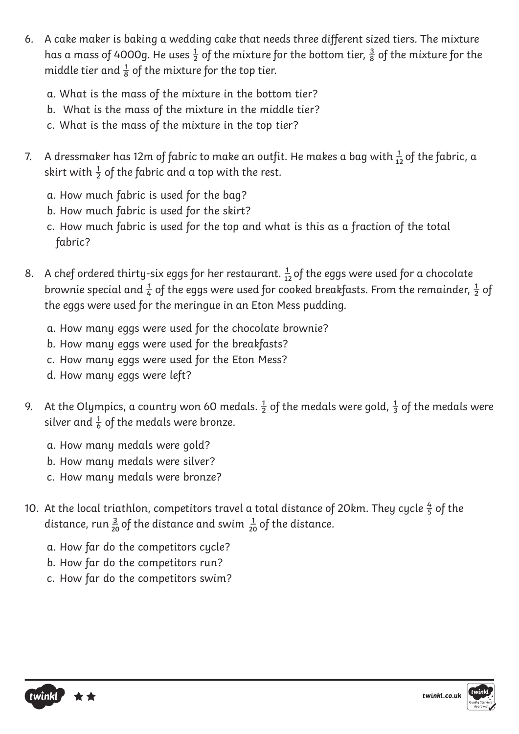- 6. A cake maker is baking a wedding cake that needs three different sized tiers. The mixture has a mass of 4000g. He uses  $\frac{1}{2}$  of the mixture for the bottom tier,  $\frac{3}{8}$  of the mixture for the middle tier and  $\frac{1}{8}$  of the mixture for the top tier.
	- a. What is the mass of the mixture in the bottom tier?
	- b. What is the mass of the mixture in the middle tier?
	- c. What is the mass of the mixture in the top tier?
- 7. A dressmaker has 12m of fabric to make an outfit. He makes a bag with  $\frac{1}{12}$  of the fabric, a skirt with  $\frac{1}{2}$  of the fabric and a top with the rest.
	- a. How much fabric is used for the bag?
	- b. How much fabric is used for the skirt?
	- c. How much fabric is used for the top and what is this as a fraction of the total fabric?
- 8. A chef ordered thirty-six eggs for her restaurant.  $\frac{1}{12}$  of the eggs were used for a chocolate brownie special and  $\frac{1}{4}$  of the eggs were used for cooked breakfasts. From the remainder,  $\frac{1}{2}$  of the eggs were used for the meringue in an Eton Mess pudding.
	- a. How many eggs were used for the chocolate brownie?
	- b. How many eggs were used for the breakfasts?
	- c. How many eggs were used for the Eton Mess?
	- d. How many eggs were left?
- 9. At the Olympics, a country won 60 medals.  $\frac{1}{2}$  of the medals were gold,  $\frac{1}{3}$  of the medals were silver and  $\frac{1}{6}$  of the medals were bronze.
	- a. How many medals were gold?
	- b. How many medals were silver?
	- c. How many medals were bronze?
- 10. At the local triathlon, competitors travel a total distance of 20km. They cycle  $\frac{4}{5}$  of the distance, run  $\frac{3}{20}$  of the distance and swim  $\frac{1}{20}$  of the distance.
	- a. How far do the competitors cycle?
	- b. How far do the competitors run?
	- c. How far do the competitors swim?



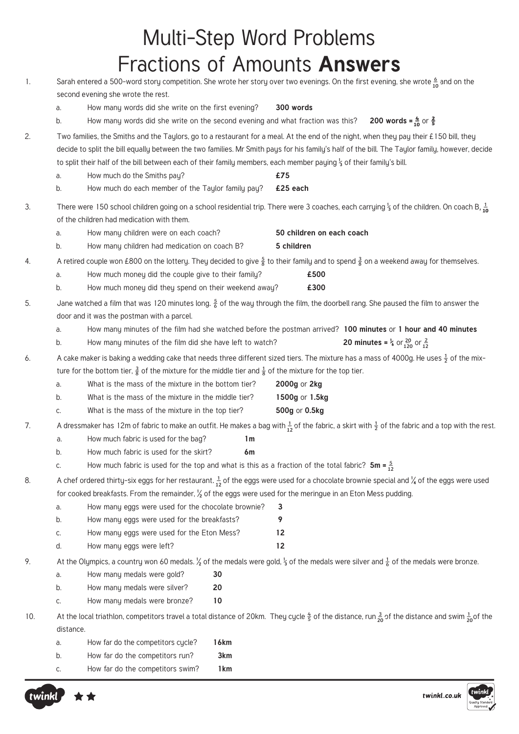### Multi-Step Word Problems Fractions of Amounts **Answers**

1. Sarah entered a 500-word story competition. She wrote her story over two evenings. On the first evening, she wrote  $\frac{6}{10}$  and on the second evening she wrote the rest. a. How many words did she write on the first evening? **300 words** b. How many words did she write on the second evening and what fraction was this? **200 words =**  $\frac{4}{10}$  or  $\frac{2}{5}$ 2. Two families, the Smiths and the Taylors, go to a restaurant for a meal. At the end of the night, when they pay their £150 bill, they decide to split the bill equally between the two families. Mr Smith pays for his family's half of the bill. The Taylor family, however, decide to split their half of the bill between each of their family members, each member paying ⅓ of their family's bill. a. How much do the Smiths pay? **£75** b. How much do each member of the Taylor family pay? **£25 each** 3. There were 150 school children going on a school residential trip. There were 3 coaches, each carrying ⅓ of the children. On coach B, � **10** of the children had medication with them. a. How many children were on each coach? **50 children on each coach** b. How many children had medication on coach B? **5 children** 4. A retired couple won £800 on the lottery. They decided to give  $\frac{5}{8}$  to their family and to spend  $\frac{3}{8}$  on a weekend away for themselves. a. How much money did the couple give to their family? **£500** b. How much money did they spend on their weekend away? **£300** 5. Jane watched a film that was 120 minutes long.  $\frac{5}{6}$  of the way through the film, the doorbell rang. She paused the film to answer the door and it was the postman with a parcel. a. How many minutes of the film had she watched before the postman arrived? **100 minutes** or **1 hour and 40 minutes**  b. How many minutes of the film did she have left to watch? 6. A cake maker is baking a wedding cake that needs three different sized tiers. The mixture has a mass of 4000g. He uses  $\frac{1}{2}$  of the mixture for the bottom tier,  $\frac{3}{8}$  of the mixture for the middle tier and  $\frac{1}{8}$  of the mixture for the top tier. a. What is the mass of the mixture in the bottom tier? **2000g** or **2kg** b. What is the mass of the mixture in the middle tier? **1500g** or **1.5kg** c. What is the mass of the mixture in the top tier? **500g** or **0.5kg** 7. A dressmaker has 12m of fabric to make an outfit. He makes a bag with  $\frac{1}{12}$  of the fabric, a skirt with  $\frac{1}{2}$  of the fabric and a top with the rest. a. How much fabric is used for the bag? **1m** b. How much fabric is used for the skirt? **6m** c. How much fabric is used for the top and what is this as a fraction of the total fabric?  $5m = \frac{5}{12}$ 8. A chef ordered thirty-six eggs for her restaurant.  $\frac{1}{12}$  of the eggs were used for a chocolate brownie special and  $\frac{1}{4}$  of the eggs were used for cooked breakfasts. From the remainder,  $\frac{1}{2}$  of the eggs were used for the meringue in an Eton Mess pudding. a. How many eggs were used for the chocolate brownie? **3** b. How many eggs were used for the breakfasts? **9** c. How many eggs were used for the Eton Mess? **12** d. How many eggs were left? **12** 9. At the Olympics, a country won 60 medals. <sup>1</sup>/<sub>2</sub> of the medals were gold, <sup>1</sup>/<sub>3</sub> of the medals were silver and  $\frac{1}{6}$  of the medals were bronze. a. How many medals were gold? **30** b. How many medals were silver? **20** c. How many medals were bronze? **10** 10. At the local triathlon, competitors travel a total distance of 20km. They cycle  $\frac{4}{5}$  of the distance, run  $\frac{3}{20}$  of the distance and swim  $\frac{1}{20}$  of the distance. a. How far do the competitors cycle? **16km** b. How far do the competitors run? **3km** c. How far do the competitors swim? **1km 120 12 20**



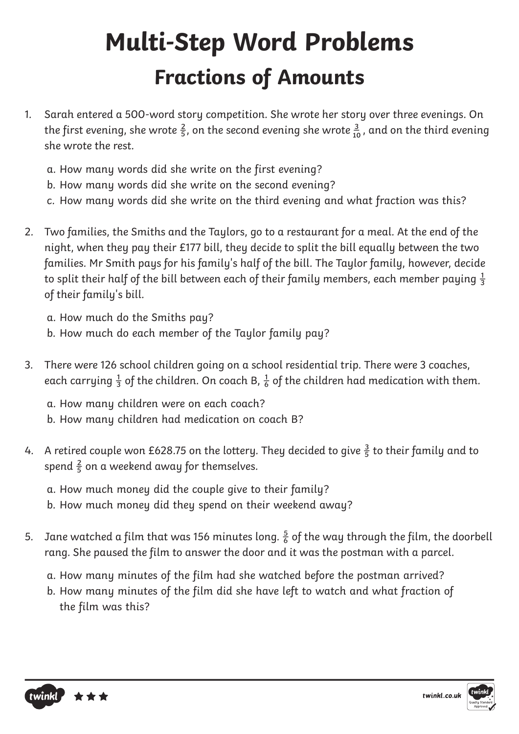# **Multi-Step Word Problems Fractions of Amounts**

- 1. Sarah entered a 500-word story competition. She wrote her story over three evenings. On the first evening, she wrote  $\frac{2}{5}$ , on the second evening she wrote  $\frac{3}{10}$ , and on the third evening she wrote the rest.
	- a. How many words did she write on the first evening?
	- b. How many words did she write on the second evening?
	- c. How many words did she write on the third evening and what fraction was this?
- 2. Two families, the Smiths and the Taylors, go to a restaurant for a meal. At the end of the night, when they pay their £177 bill, they decide to split the bill equally between the two families. Mr Smith pays for his family's half of the bill. The Taylor family, however, decide to split their half of the bill between each of their family members, each member paying  $\frac{1}{3}$ of their family's bill.
	- a. How much do the Smiths pay?
	- b. How much do each member of the Taylor family pay?
- 3. There were 126 school children going on a school residential trip. There were 3 coaches, each carrying  $\frac{1}{3}$  of the children. On coach B,  $\frac{1}{6}$  of the children had medication with them.
	- a. How many children were on each coach?
	- b. How many children had medication on coach B?
- 4. A retired couple won £628.75 on the lottery. They decided to give  $\frac{3}{5}$  to their family and to spend  $\frac{2}{5}$  on a weekend away for themselves.
	- a. How much money did the couple give to their family?
	- b. How much money did they spend on their weekend away?
- 5. Jane watched a film that was 156 minutes long.  $\frac{5}{6}$  of the way through the film, the doorbell rang. She paused the film to answer the door and it was the postman with a parcel.
	- a. How many minutes of the film had she watched before the postman arrived?
	- b. How many minutes of the film did she have left to watch and what fraction of the film was this?

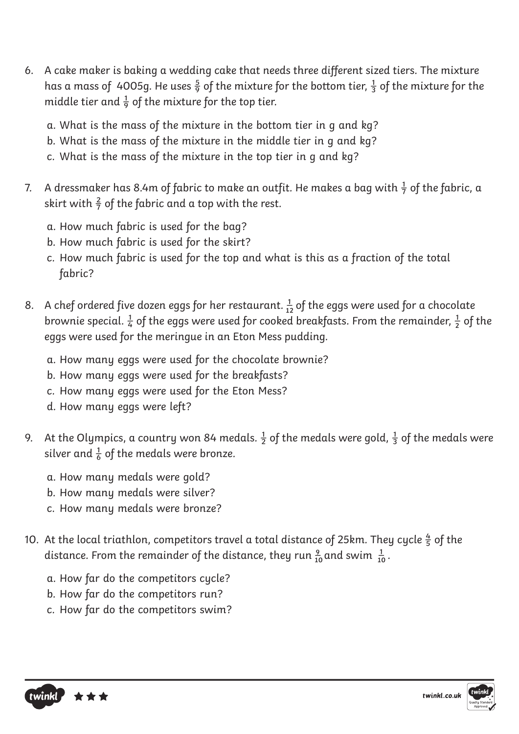- 6. A cake maker is baking a wedding cake that needs three different sized tiers. The mixture has a mass of 4005g. He uses  $\frac{5}{9}$  of the mixture for the bottom tier,  $\frac{1}{3}$  of the mixture for the middle tier and  $\frac{1}{9}$  of the mixture for the top tier.
	- a. What is the mass of the mixture in the bottom tier in g and kg?
	- b. What is the mass of the mixture in the middle tier in g and kg?
	- c. What is the mass of the mixture in the top tier in g and kg?
- 7. A dressmaker has 8.4m of fabric to make an outfit. He makes a bag with  $\frac{1}{7}$  of the fabric, a skirt with  $\frac{2}{7}$  of the fabric and a top with the rest.
	- a. How much fabric is used for the bag?
	- b. How much fabric is used for the skirt?
	- c. How much fabric is used for the top and what is this as a fraction of the total fabric?
- 8. A chef ordered five dozen eggs for her restaurant.  $\frac{1}{12}$  of the eggs were used for a chocolate brownie special.  $\frac{1}{4}$  of the eggs were used for cooked breakfasts. From the remainder,  $\frac{1}{2}$  of the eggs were used for the meringue in an Eton Mess pudding.
	- a. How many eggs were used for the chocolate brownie?
	- b. How many eggs were used for the breakfasts?
	- c. How many eggs were used for the Eton Mess?
	- d. How many eggs were left?
- 9. At the Olympics, a country won 84 medals.  $\frac{1}{2}$  of the medals were gold,  $\frac{1}{3}$  of the medals were silver and  $\frac{1}{6}$  of the medals were bronze.
	- a. How many medals were gold?
	- b. How many medals were silver?
	- c. How many medals were bronze?
- 10. At the local triathlon, competitors travel a total distance of 25km. They cycle  $\frac{4}{5}$  of the distance. From the remainder of the distance, they run  $\frac{9}{10}$  and swim  $\frac{1}{10}$ . **10 10**
	- a. How far do the competitors cycle?
	- b. How far do the competitors run?
	- c. How far do the competitors swim?

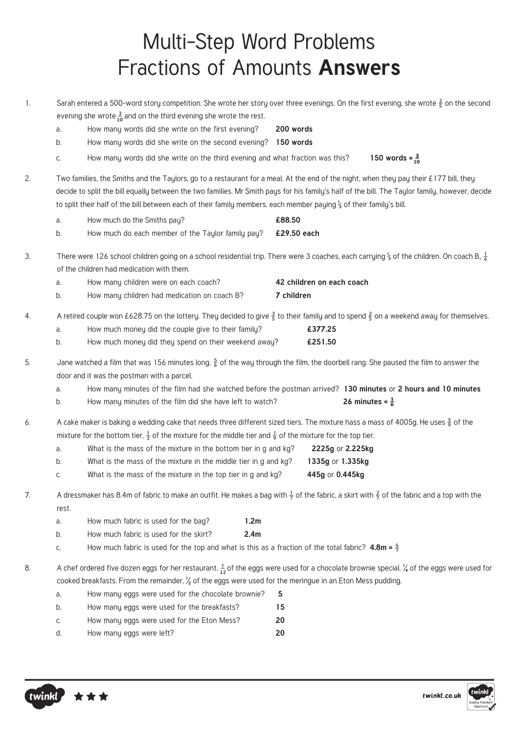#### Multi-Step Word Problems Fractions of Amounts **Answers**

- 1. Sarah entered a 500-word story competition. She wrote her story over three evenings. On the first evening, she wrote  $\frac{2}{5}$  on the second evening she wrote  $\frac{3}{10}$  and on the third evening she wrote the rest.
	- a. How many words did she write on the first evening? **200 words**
	- b. How many words did she write on the second evening? **150 words**
	- c. How many words did she write on the third evening and what fraction was this? 150 words =  $\frac{3}{10}$
- 2. Two families, the Smiths and the Taylors, go to a restaurant for a meal. At the end of the night, when they pay their £177 bill, they decide to split the bill equally between the two families. Mr Smith pays for his family's half of the bill. The Taylor family, however, decide to split their half of the bill between each of their family members, each member paying ⅓ of their family's bill.

|  | How much do the Smiths pay? | £88.50 |
|--|-----------------------------|--------|
|--|-----------------------------|--------|

- b. How much do each member of the Taylor family pay? **£29.50 each**
- 3. There were 126 school children going on a school residential trip. There were 3 coaches, each carrying <sup>1</sup>/<sub>3</sub> of the children. On coach B,  $\frac{1}{6}$ of the children had medication with them.

| а. | How many children were on each coach?        | 42 children on each coach |
|----|----------------------------------------------|---------------------------|
|    | How many children had medication on coach B? | 7 children                |

- 4. A retired couple won £628.75 on the lottery. They decided to give  $\frac{3}{5}$  to their family and to spend  $\frac{2}{5}$  on a weekend away for themselves.
	- a. How much money did the couple give to their family? **£377.25**
	- b. How much money did they spend on their weekend away? **£251.50**
- 5. Jane watched a film that was 156 minutes long.  $\frac{5}{6}$  of the way through the film, the doorbell rang. She paused the film to answer the door and it was the postman with a parcel.
	- a. How many minutes of the film had she watched before the postman arrived? **130 minutes** or **2 hours and 10 minutes**
	- b. How many minutes of the film did she have left to watch? **26 minutes =**  $\frac{1}{6}$
- 6. A cake maker is baking a wedding cake that needs three different sized tiers. The mixture hass a mass of 4005g. He uses  $\frac{5}{6}$  of the mixture for the bottom tier,  $\frac{1}{3}$  of the mixture for the middle tier and  $\frac{1}{9}$  of the mixture for the top tier.

| а. | What is the mass of the mixture in the bottom tier in g and kg? | 2225g or 2.225kg |
|----|-----------------------------------------------------------------|------------------|
| b. | What is the mass of the mixture in the middle tier in g and kg? | 1335g or 1.335kg |
| C. | What is the mass of the mixture in the top tier in g and kg?    | 445g or 0.445kg  |

- 7. A dressmaker has 8.4m of fabric to make an outfit. He makes a bag with  $\frac{1}{7}$  of the fabric, a skirt with  $\frac{2}{7}$  of the fabric and a top with the rest.
	- a. How much fabric is used for the bag? **1.2m**
	- b. How much fabric is used for the skirt? **2.4m**
	- c. How much fabric is used for the top and what is this as a fraction of the total fabric?  $4.8m = \frac{4}{7}$

8. A chef ordered five dozen eggs for her restaurant.  $\frac{1}{12}$  of the eggs were used for a chocolate brownie special.  $\frac{1}{4}$  of the eggs were used for cooked breakfasts. From the remainder,  $\frac{1}{2}$  of the eggs were used for the meringue in an Eton Mess pudding.

- a. How many eggs were used for the chocolate brownie? **5** b. How many eggs were used for the breakfasts? **15**
- c. How many eggs were used for the Eton Mess? **20**
- d. How many eggs were left? **20**